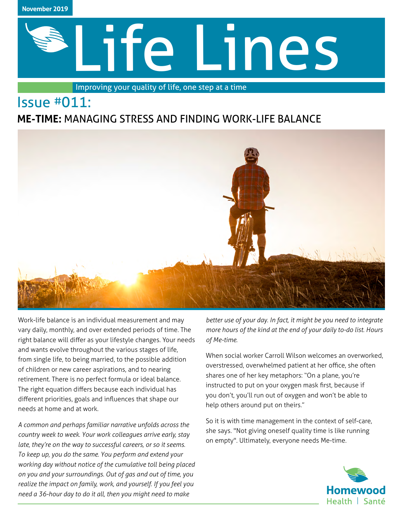

# Life Lines

Improving your quality of life, one step at a time

# Issue #011:

# **ME-TIME:** MANAGING STRESS AND FINDING WORK-LIFE BALANCE



Work-life balance is an individual measurement and may vary daily, monthly, and over extended periods of time. The right balance will differ as your lifestyle changes. Your needs and wants evolve throughout the various stages of life, from single life, to being married, to the possible addition of children or new career aspirations, and to nearing retirement. There is no perfect formula or ideal balance. The right equation differs because each individual has different priorities, goals and influences that shape our needs at home and at work.

*A common and perhaps familiar narrative unfolds across the country week to week. Your work colleagues arrive early, stay late, they're on the way to successful careers, or so it seems. To keep up, you do the same. You perform and extend your working day without notice of the cumulative toll being placed on you and your surroundings. Out of gas and out of time, you realize the impact on family, work, and yourself. If you feel you need a 36-hour day to do it all, then you might need to make* 

*better use of your day. In fact, it might be you need to integrate more hours of the kind at the end of your daily to-do list. Hours of Me-time.*

When social worker Carroll Wilson welcomes an overworked, overstressed, overwhelmed patient at her office, she often shares one of her key metaphors: "On a plane, you're instructed to put on your oxygen mask first, because if you don't, you'll run out of oxygen and won't be able to help others around put on theirs."

So it is with time management in the context of self-care, she says. "Not giving oneself quality time is like running on empty". Ultimately, everyone needs Me-time.

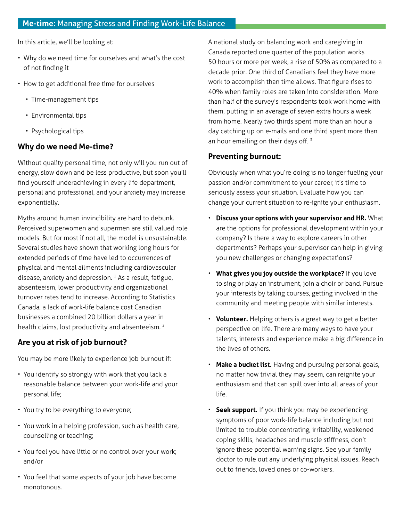In this article, we'll be looking at:

- Why do we need time for ourselves and what's the cost of not finding it
- How to get additional free time for ourselves
	- Time-management tips
	- Environmental tips
	- Psychological tips

### **Why do we need Me-time?**

Without quality personal time, not only will you run out of energy, slow down and be less productive, but soon you'll find yourself underachieving in every life department, personal and professional, and your anxiety may increase exponentially.

Myths around human invincibility are hard to debunk. Perceived superwomen and supermen are still valued role models. But for most if not all, the model is unsustainable. Several studies have shown that working long hours for extended periods of time have led to occurrences of physical and mental ailments including cardiovascular disease, anxiety and depression.  $1$  As a result, fatigue, absenteeism, lower productivity and organizational turnover rates tend to increase. According to Statistics Canada, a lack of work-life balance cost Canadian businesses a combined 20 billion dollars a year in health claims, lost productivity and absenteeism.<sup>2</sup>

### **Are you at risk of job burnout?**

You may be more likely to experience job burnout if:

- You identify so strongly with work that you lack a reasonable balance between your work-life and your personal life;
- You try to be everything to everyone;
- You work in a helping profession, such as health care, counselling or teaching;
- You feel you have little or no control over your work; and/or
- You feel that some aspects of your job have become monotonous.

A national study on balancing work and caregiving in Canada reported one quarter of the population works 50 hours or more per week, a rise of 50% as compared to a decade prior. One third of Canadians feel they have more work to accomplish than time allows. That figure rises to 40% when family roles are taken into consideration. More than half of the survey's respondents took work home with them, putting in an average of seven extra hours a week from home. Nearly two thirds spent more than an hour a day catching up on e-mails and one third spent more than an hour emailing on their days off.<sup>3</sup>

### **Preventing burnout:**

Obviously when what you're doing is no longer fueling your passion and/or commitment to your career, it's time to seriously assess your situation. Evaluate how you can change your current situation to re-ignite your enthusiasm.

- **Discuss your options with your supervisor and HR.** What are the options for professional development within your company? Is there a way to explore careers in other departments? Perhaps your supervisor can help in giving you new challenges or changing expectations?
- **What gives you joy outside the workplace?** If you love to sing or play an instrument, join a choir or band. Pursue your interests by taking courses, getting involved in the community and meeting people with similar interests.
- **Volunteer.** Helping others is a great way to get a better perspective on life. There are many ways to have your talents, interests and experience make a big difference in the lives of others.
- **Make a bucket list.** Having and pursuing personal goals, no matter how trivial they may seem, can reignite your enthusiasm and that can spill over into all areas of your life.
- **Seek support.** If you think you may be experiencing symptoms of poor work-life balance including but not limited to trouble concentrating, irritability, weakened coping skills, headaches and muscle stiffness, don't ignore these potential warning signs. See your family doctor to rule out any underlying physical issues. Reach out to friends, loved ones or co-workers.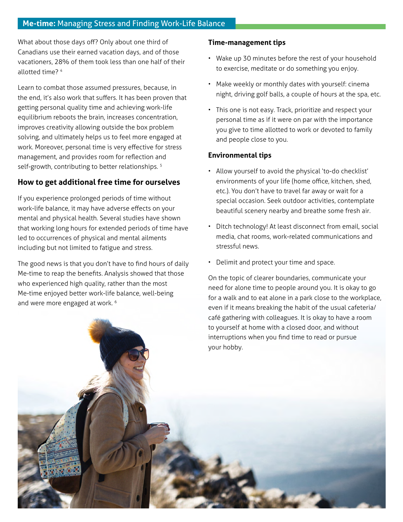### **Me-time:** Managing Stress and Finding Work-Life Balance

What about those days off? Only about one third of Canadians use their earned vacation days, and of those vacationers, 28% of them took less than one half of their allotted time? 4

Learn to combat those assumed pressures, because, in the end, it's also work that suffers. It has been proven that getting personal quality time and achieving work-life equilibrium reboots the brain, increases concentration, improves creativity allowing outside the box problem solving, and ultimately helps us to feel more engaged at work. Moreover, personal time is very effective for stress management, and provides room for reflection and self-growth, contributing to better relationships.<sup>5</sup>

### **How to get additional free time for ourselves**

If you experience prolonged periods of time without work-life balance, it may have adverse effects on your mental and physical health. Several studies have shown that working long hours for extended periods of time have led to occurrences of physical and mental ailments including but not limited to fatigue and stress.

The good news is that you don't have to find hours of daily Me-time to reap the benefits. Analysis showed that those who experienced high quality, rather than the most Me-time enjoyed better work-life balance, well-being and were more engaged at work. 6

### **Time-management tips**

- Wake up 30 minutes before the rest of your household to exercise, meditate or do something you enjoy.
- Make weekly or monthly dates with yourself: cinema night, driving golf balls, a couple of hours at the spa, etc.
- This one is not easy. Track, prioritize and respect your personal time as if it were on par with the importance you give to time allotted to work or devoted to family and people close to you.

### **Environmental tips**

- Allow yourself to avoid the physical 'to-do checklist' environments of your life (home office, kitchen, shed, etc.). You don't have to travel far away or wait for a special occasion. Seek outdoor activities, contemplate beautiful scenery nearby and breathe some fresh air.
- Ditch technology! At least disconnect from email, social media, chat rooms, work-related communications and stressful news.
- Delimit and protect your time and space.

On the topic of clearer boundaries, communicate your need for alone time to people around you. It is okay to go for a walk and to eat alone in a park close to the workplace, even if it means breaking the habit of the usual cafeteria/ café gathering with colleagues. It is okay to have a room to yourself at home with a closed door, and without